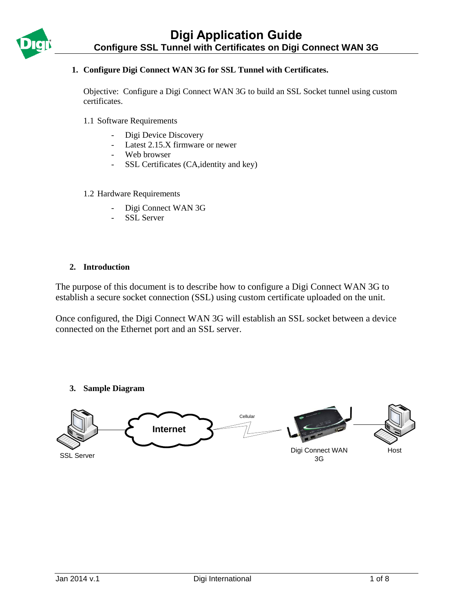## **1. Configure Digi Connect WAN 3G for SSL Tunnel with Certificates.**

Objective: Configure a Digi Connect WAN 3G to build an SSL Socket tunnel using custom certificates.

- 1.1 Software Requirements
	- Digi Device Discovery
	- Latest 2.15.X firmware or newer
	- Web browser
	- SSL Certificates (CA,identity and key)

#### 1.2 Hardware Requirements

- Digi Connect WAN 3G
- SSL Server

#### **2. Introduction**

The purpose of this document is to describe how to configure a Digi Connect WAN 3G to establish a secure socket connection (SSL) using custom certificate uploaded on the unit.

Once configured, the Digi Connect WAN 3G will establish an SSL socket between a device connected on the Ethernet port and an SSL server.

### **3. Sample Diagram**

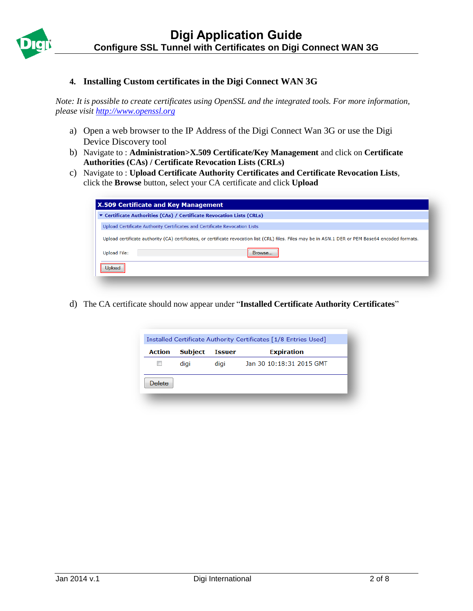

## **4. Installing Custom certificates in the Digi Connect WAN 3G**

*Note: It is possible to create certificates using OpenSSL and the integrated tools. For more information, please visit [http://www.openssl.org](http://www.openssl.org/)*

- a) Open a web browser to the IP Address of the Digi Connect Wan 3G or use the Digi Device Discovery tool
- b) Navigate to : **Administration>X.509 Certificate/Key Management** and click on **Certificate Authorities (CAs) / Certificate Revocation Lists (CRLs)**
- c) Navigate to : **Upload Certificate Authority Certificates and Certificate Revocation Lists**, click the **Browse** button, select your CA certificate and click **Upload**

| <b>X.509 Certificate and Key Management</b> |                                                                                                                                                      |
|---------------------------------------------|------------------------------------------------------------------------------------------------------------------------------------------------------|
|                                             | ▼ Certificate Authorities (CAs) / Certificate Revocation Lists (CRLs)                                                                                |
|                                             | Upload Certificate Authority Certificates and Certificate Revocation Lists                                                                           |
|                                             | Upload certificate authority (CA) certificates, or certificate revocation list (CRL) files. Files may be in ASN.1 DER or PEM Base64 encoded formats. |
| <b>Upload File:</b>                         | Browse                                                                                                                                               |
| Jpload                                      |                                                                                                                                                      |
|                                             |                                                                                                                                                      |

d) The CA certificate should now appear under "**Installed Certificate Authority Certificates**"

| Installed Certificate Authority Certificates [1/8 Entries Used] |                |               |                          |  |
|-----------------------------------------------------------------|----------------|---------------|--------------------------|--|
| Action                                                          | <b>Subject</b> | <b>Issuer</b> | <b>Expiration</b>        |  |
|                                                                 | diai           | digi          | Jan 30 10:18:31 2015 GMT |  |
| <b>Delete</b>                                                   |                |               |                          |  |
|                                                                 |                |               |                          |  |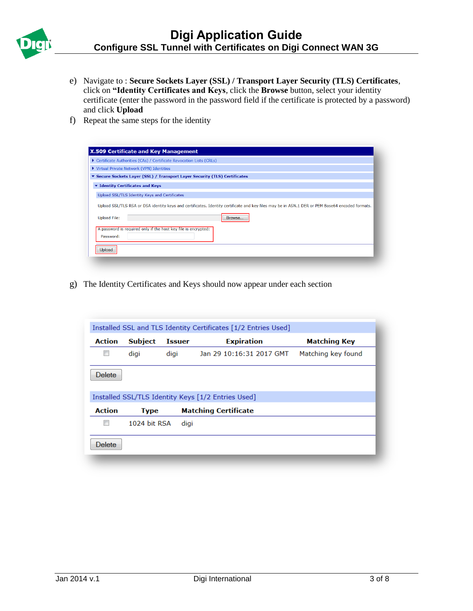

- e) Navigate to : **Secure Sockets Layer (SSL) / Transport Layer Security (TLS) Certificates**, click on **"Identity Certificates and Keys**, click the **Browse** button, select your identity certificate (enter the password in the password field if the certificate is protected by a password) and click **Upload**
- f) Repeat the same steps for the identity

| ▶ Certificate Authorities (CAs) / Certificate Revocation Lists (CRLs)                                                                           |
|-------------------------------------------------------------------------------------------------------------------------------------------------|
|                                                                                                                                                 |
| ▼ Secure Sockets Layer (SSL) / Transport Layer Security (TLS) Certificates                                                                      |
|                                                                                                                                                 |
|                                                                                                                                                 |
| Upload SSL/TLS RSA or DSA identity keys and certificates. Identity certificate and key files may be in ASN.1 DER or PEM Base64 encoded formats. |
| Browse                                                                                                                                          |
| A password is required only if the host key file is encrypted:                                                                                  |
|                                                                                                                                                 |
|                                                                                                                                                 |

g) The Identity Certificates and Keys should now appear under each section

|               |                |               | Installed SSL and TLS Identity Certificates [1/2 Entries Used] |                     |
|---------------|----------------|---------------|----------------------------------------------------------------|---------------------|
| <b>Action</b> | <b>Subject</b> | <b>Issuer</b> | <b>Expiration</b>                                              | <b>Matching Key</b> |
|               | digi           | digi          | Jan 29 10:16:31 2017 GMT                                       | Matching key found  |
| Delete        |                |               |                                                                |                     |
|               |                |               | Installed SSL/TLS Identity Keys [1/2 Entries Used]             |                     |
| <b>Action</b> | <b>Type</b>    |               | <b>Matching Certificate</b>                                    |                     |
|               | 1024 bit RSA   | digi          |                                                                |                     |
| <b>Delete</b> |                |               |                                                                |                     |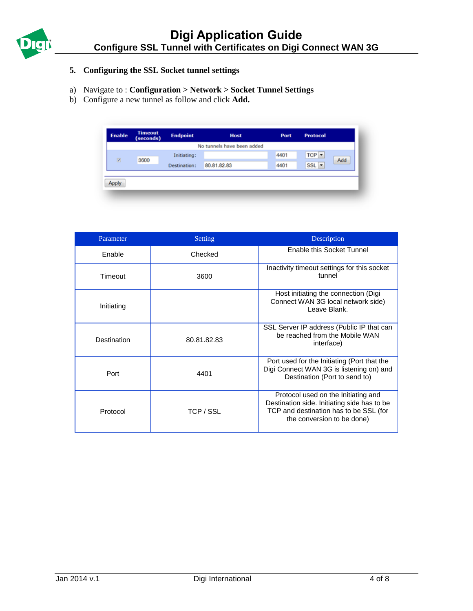

# **5. Configuring the SSL Socket tunnel settings**

- a) Navigate to : **Configuration > Network > Socket Tunnel Settings**
- b) Configure a new tunnel as follow and click **Add.**

| <b>Enable</b>            | <b>Timeout</b><br>(seconds) | <b>Endpoint</b> | <b>Host</b>                | Port | <b>Protocol</b> |     |
|--------------------------|-----------------------------|-----------------|----------------------------|------|-----------------|-----|
|                          |                             |                 | No tunnels have been added |      |                 |     |
|                          |                             | Initiating:     |                            | 4401 | $TCP -$         |     |
| $\overline{\mathcal{L}}$ | 3600                        | Destination:    | 80.81.82.83                | 4401 | SSL +           | Add |
|                          |                             |                 |                            |      |                 |     |
| Anply                    |                             |                 |                            |      |                 |     |

| Parameter   | Setting     | Description                                                                                                                                                |
|-------------|-------------|------------------------------------------------------------------------------------------------------------------------------------------------------------|
| Enable      | Checked     | Enable this Socket Tunnel                                                                                                                                  |
| Timeout     | 3600        | Inactivity timeout settings for this socket<br>tunnel                                                                                                      |
| Initiating  |             | Host initiating the connection (Digi<br>Connect WAN 3G local network side)<br>Leave Blank.                                                                 |
| Destination | 80.81.82.83 | SSL Server IP address (Public IP that can<br>be reached from the Mobile WAN<br>interface)                                                                  |
| Port        | 4401        | Port used for the Initiating (Port that the<br>Digi Connect WAN 3G is listening on) and<br>Destination (Port to send to)                                   |
| Protocol    | TCP / SSL   | Protocol used on the Initiating and<br>Destination side. Initiating side has to be<br>TCP and destination has to be SSL (for<br>the conversion to be done) |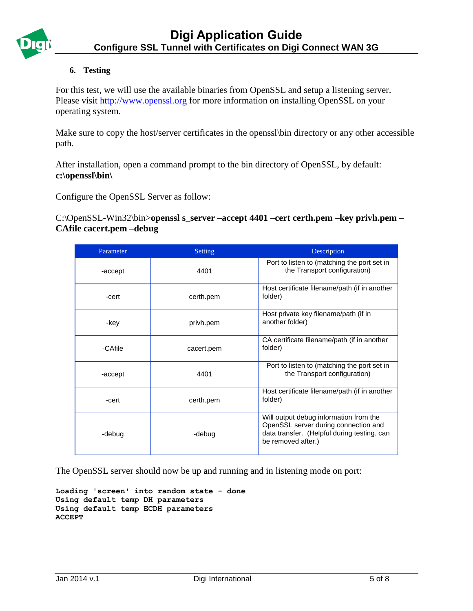

## **6. Testing**

For this test, we will use the available binaries from OpenSSL and setup a listening server. Please visit [http://www.openssl.org](http://www.openssl.org/) for more information on installing OpenSSL on your operating system.

Make sure to copy the host/server certificates in the openssl\bin directory or any other accessible path.

After installation, open a command prompt to the bin directory of OpenSSL, by default: **c:\openssl\bin\**

Configure the OpenSSL Server as follow:

C:\OpenSSL-Win32\bin>**openssl s\_server –accept 4401 –cert certh.pem –key privh.pem – CAfile cacert.pem –debug**

| Parameter | <b>Setting</b> | Description                                                                                                                                         |
|-----------|----------------|-----------------------------------------------------------------------------------------------------------------------------------------------------|
| -accept   | 4401           | Port to listen to (matching the port set in<br>the Transport configuration)                                                                         |
| -cert     | certh.pem      | Host certificate filename/path (if in another<br>folder)                                                                                            |
| -key      | privh.pem      | Host private key filename/path (if in<br>another folder)                                                                                            |
| -CAfile   | cacert.pem     | CA certificate filename/path (if in another<br>folder)                                                                                              |
| -accept   | 4401           | Port to listen to (matching the port set in<br>the Transport configuration)                                                                         |
| -cert     | certh.pem      | Host certificate filename/path (if in another<br>folder)                                                                                            |
| -debug    | -debug         | Will output debug information from the<br>OpenSSL server during connection and<br>data transfer. (Helpful during testing. can<br>be removed after.) |

The OpenSSL server should now be up and running and in listening mode on port:

```
Loading 'screen' into random state - done
Using default temp DH parameters
Using default temp ECDH parameters
ACCEPT
```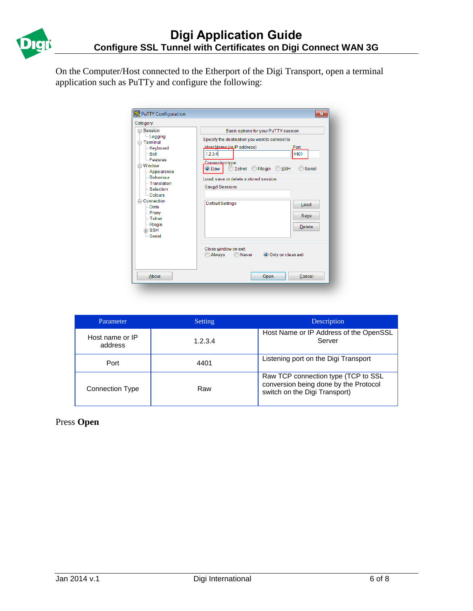

On the Computer/Host connected to the Etherport of the Digi Transport, open a terminal application such as PuTTy and configure the following:

| PuTTY Configuration                                                                                                                                                                                                                                                                          | $\mathbf{X}$                                                                                                                                                                                                                                                                                                                                                                                                                            |
|----------------------------------------------------------------------------------------------------------------------------------------------------------------------------------------------------------------------------------------------------------------------------------------------|-----------------------------------------------------------------------------------------------------------------------------------------------------------------------------------------------------------------------------------------------------------------------------------------------------------------------------------------------------------------------------------------------------------------------------------------|
| Category:<br>⊟-Session<br>- Logging<br><b>⊟</b> -Terminal<br><b>Keyboard</b><br>⊟ Bell<br><b>Features</b><br>⊟⊹Window<br>- Appearance<br>- Behaviour<br>- Translation<br>-Selection<br>- Colours<br><b>E</b> Connection<br>$-Data$<br>- Proxy<br>$-$ Telnet<br>- Rlogin<br>中·SSH<br>└ Serial | Basic options for your PuTTY session<br>Specify the destination you want to connect to<br>Host Name (or IP address)<br>Port<br>1.2.3.4<br>4401<br>Connection type:<br>Rlogin O<br><b>SSH</b><br>$\bigcirc$ Telnet<br>Serial<br>O Raw<br>Load, save or delete a stored session<br><b>Saved Sessions</b><br><b>Default Settings</b><br>Load<br>Save<br><b>Delete</b><br>Close window on exit<br>Always<br>◯ Never<br>O Only on clean exit |
| About                                                                                                                                                                                                                                                                                        | Open<br>Cancel                                                                                                                                                                                                                                                                                                                                                                                                                          |

| Parameter                  | Setting | Description                                                                                                   |
|----------------------------|---------|---------------------------------------------------------------------------------------------------------------|
| Host name or IP<br>address | 1.2.3.4 | Host Name or IP Address of the OpenSSL<br>Server                                                              |
| Port                       | 4401    | Listening port on the Digi Transport                                                                          |
| <b>Connection Type</b>     | Raw     | Raw TCP connection type (TCP to SSL<br>conversion being done by the Protocol<br>switch on the Digi Transport) |

Press **Open**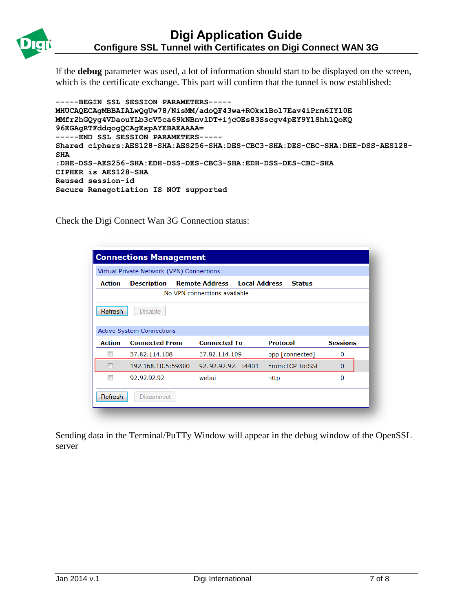

If the **debug** parameter was used, a lot of information should start to be displayed on the screen, which is the certificate exchange. This part will confirm that the tunnel is now established:

```
-----BEGIN SSL SESSION PARAMETERS-----
MHUCAQECAgMBBAIALwQgUw78/NisMM/adoQF43wa+ROkx1Bo17Eav4iPrm6IYl0E
MMfr2hGQyg4VDaouYLb3cV5ca69kNBnvlDT+ijcOEs83Sscgv4pEY9Y1Shh1QoKQ
96EGAgRTFddqogQCAgEspAYEBAEAAAA=
-----END SSL SESSION PARAMETERS-----
Shared ciphers:AES128-SHA:AES256-SHA:DES-CBC3-SHA:DES-CBC-SHA:DHE-DSS-AES128-
SHA
:DHE-DSS-AES256-SHA:EDH-DSS-DES-CBC3-SHA:EDH-DSS-DES-CBC-SHA
CIPHER is AES128-SHA
Reused session-id
Secure Renegotiation IS NOT supported
```
Check the Digi Connect Wan 3G Connection status:

|                              | <b>Connections Management</b>             |                       |                                       |                 |  |  |  |
|------------------------------|-------------------------------------------|-----------------------|---------------------------------------|-----------------|--|--|--|
|                              | Virtual Private Network (VPN) Connections |                       |                                       |                 |  |  |  |
| <b>Action</b>                | <b>Description</b>                        | <b>Remote Address</b> | <b>Local Address</b><br><b>Status</b> |                 |  |  |  |
| No VPN connections available |                                           |                       |                                       |                 |  |  |  |
| Refresh                      | <b>Disable</b>                            |                       |                                       |                 |  |  |  |
|                              | <b>Active System Connections</b>          |                       |                                       |                 |  |  |  |
| <b>Action</b>                | <b>Connected From</b>                     | <b>Connected To</b>   | <b>Protocol</b>                       | <b>Sessions</b> |  |  |  |
|                              | 37.82.114.108                             | 37.82.114.109         | ppp [connected]                       | 0               |  |  |  |
|                              | 192.168.10.5:59300                        | 92.92.92.92. :4401    | From: TCP To: SSL                     | $\bf{0}$        |  |  |  |
| $\overline{\phantom{a}}$     | 92.92.92.92                               | webui                 | http                                  | $\Omega$        |  |  |  |
|                              |                                           |                       |                                       |                 |  |  |  |

Sending data in the Terminal/PuTTy Window will appear in the debug window of the OpenSSL server